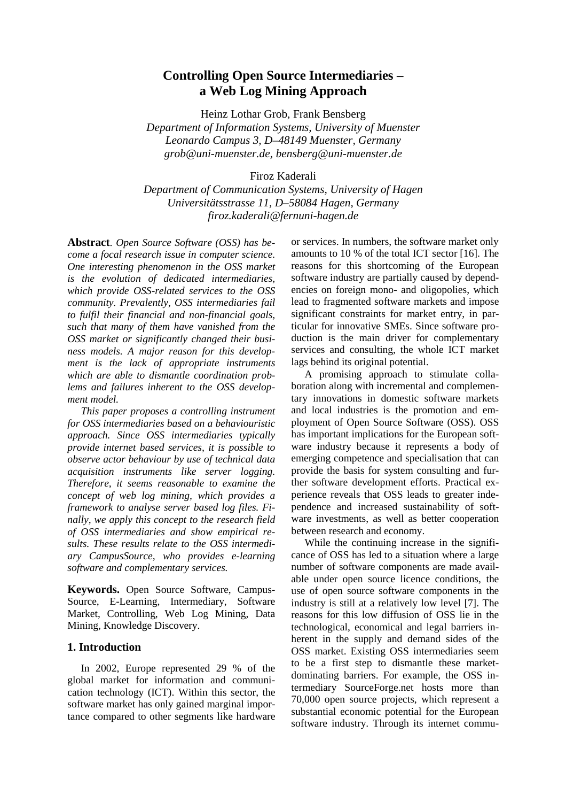# **Controlling Open Source Intermediaries – a Web Log Mining Approach**

Heinz Lothar Grob, Frank Bensberg *Department of Information Systems, University of Muenster Leonardo Campus 3, D*–*48149 Muenster, Germany grob@uni-muenster.de, bensberg@uni-muenster.de* 

Firoz Kaderali

*Department of Communication Systems, University of Hagen Universitätsstrasse 11, D*–*58084 Hagen, Germany firoz.kaderali@fernuni-hagen.de* 

**Abstract**. *Open Source Software (OSS) has become a focal research issue in computer science. One interesting phenomenon in the OSS market is the evolution of dedicated intermediaries, which provide OSS-related services to the OSS community. Prevalently, OSS intermediaries fail to fulfil their financial and non-financial goals, such that many of them have vanished from the OSS market or significantly changed their business models. A major reason for this development is the lack of appropriate instruments which are able to dismantle coordination problems and failures inherent to the OSS development model.* 

*This paper proposes a controlling instrument for OSS intermediaries based on a behaviouristic approach. Since OSS intermediaries typically provide internet based services, it is possible to observe actor behaviour by use of technical data acquisition instruments like server logging. Therefore, it seems reasonable to examine the concept of web log mining, which provides a framework to analyse server based log files. Finally, we apply this concept to the research field of OSS intermediaries and show empirical results. These results relate to the OSS intermediary CampusSource, who provides e-learning software and complementary services.* 

**Keywords.** Open Source Software, Campus-Source, E-Learning, Intermediary, Software Market, Controlling, Web Log Mining, Data Mining, Knowledge Discovery.

## **1. Introduction**

In 2002, Europe represented 29 % of the global market for information and communication technology (ICT). Within this sector, the software market has only gained marginal importance compared to other segments like hardware or services. In numbers, the software market only amounts to 10 % of the total ICT sector [16]. The reasons for this shortcoming of the European software industry are partially caused by dependencies on foreign mono- and oligopolies, which lead to fragmented software markets and impose significant constraints for market entry, in particular for innovative SMEs. Since software production is the main driver for complementary services and consulting, the whole ICT market lags behind its original potential.

A promising approach to stimulate collaboration along with incremental and complementary innovations in domestic software markets and local industries is the promotion and employment of Open Source Software (OSS). OSS has important implications for the European software industry because it represents a body of emerging competence and specialisation that can provide the basis for system consulting and further software development efforts. Practical experience reveals that OSS leads to greater independence and increased sustainability of software investments, as well as better cooperation between research and economy.

While the continuing increase in the significance of OSS has led to a situation where a large number of software components are made available under open source licence conditions, the use of open source software components in the industry is still at a relatively low level [7]. The reasons for this low diffusion of OSS lie in the technological, economical and legal barriers inherent in the supply and demand sides of the OSS market. Existing OSS intermediaries seem to be a first step to dismantle these marketdominating barriers. For example, the OSS intermediary SourceForge.net hosts more than 70,000 open source projects, which represent a substantial economic potential for the European software industry. Through its internet commu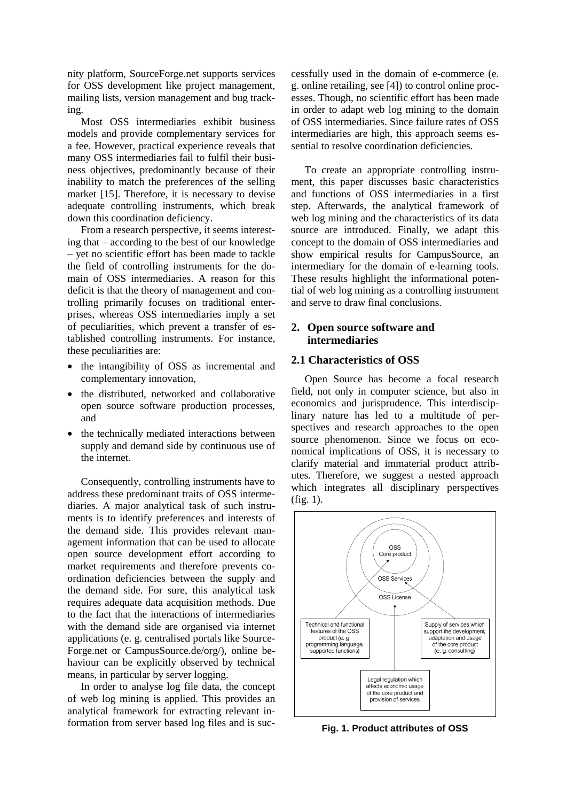nity platform, SourceForge.net supports services for OSS development like project management, mailing lists, version management and bug tracking.

Most OSS intermediaries exhibit business models and provide complementary services for a fee. However, practical experience reveals that many OSS intermediaries fail to fulfil their business objectives, predominantly because of their inability to match the preferences of the selling market [15]. Therefore, it is necessary to devise adequate controlling instruments, which break down this coordination deficiency.

From a research perspective, it seems interesting that – according to the best of our knowledge – yet no scientific effort has been made to tackle the field of controlling instruments for the domain of OSS intermediaries. A reason for this deficit is that the theory of management and controlling primarily focuses on traditional enterprises, whereas OSS intermediaries imply a set of peculiarities, which prevent a transfer of established controlling instruments. For instance, these peculiarities are:

- the intangibility of OSS as incremental and complementary innovation,
- the distributed, networked and collaborative open source software production processes, and
- the technically mediated interactions between supply and demand side by continuous use of the internet.

Consequently, controlling instruments have to address these predominant traits of OSS intermediaries. A major analytical task of such instruments is to identify preferences and interests of the demand side. This provides relevant management information that can be used to allocate open source development effort according to market requirements and therefore prevents coordination deficiencies between the supply and the demand side. For sure, this analytical task requires adequate data acquisition methods. Due to the fact that the interactions of intermediaries with the demand side are organised via internet applications (e. g. centralised portals like Source-Forge.net or CampusSource.de/org/), online behaviour can be explicitly observed by technical means, in particular by server logging.

In order to analyse log file data, the concept of web log mining is applied. This provides an analytical framework for extracting relevant information from server based log files and is successfully used in the domain of e-commerce (e. g. online retailing, see [4]) to control online processes. Though, no scientific effort has been made in order to adapt web log mining to the domain of OSS intermediaries. Since failure rates of OSS intermediaries are high, this approach seems essential to resolve coordination deficiencies.

To create an appropriate controlling instrument, this paper discusses basic characteristics and functions of OSS intermediaries in a first step. Afterwards, the analytical framework of web log mining and the characteristics of its data source are introduced. Finally, we adapt this concept to the domain of OSS intermediaries and show empirical results for CampusSource, an intermediary for the domain of e-learning tools. These results highlight the informational potential of web log mining as a controlling instrument and serve to draw final conclusions.

## **2. Open source software and intermediaries**

## **2.1 Characteristics of OSS**

Open Source has become a focal research field, not only in computer science, but also in economics and jurisprudence. This interdisciplinary nature has led to a multitude of perspectives and research approaches to the open source phenomenon. Since we focus on economical implications of OSS, it is necessary to clarify material and immaterial product attributes. Therefore, we suggest a nested approach which integrates all disciplinary perspectives (fig. 1).



**Fig. 1. Product attributes of OSS**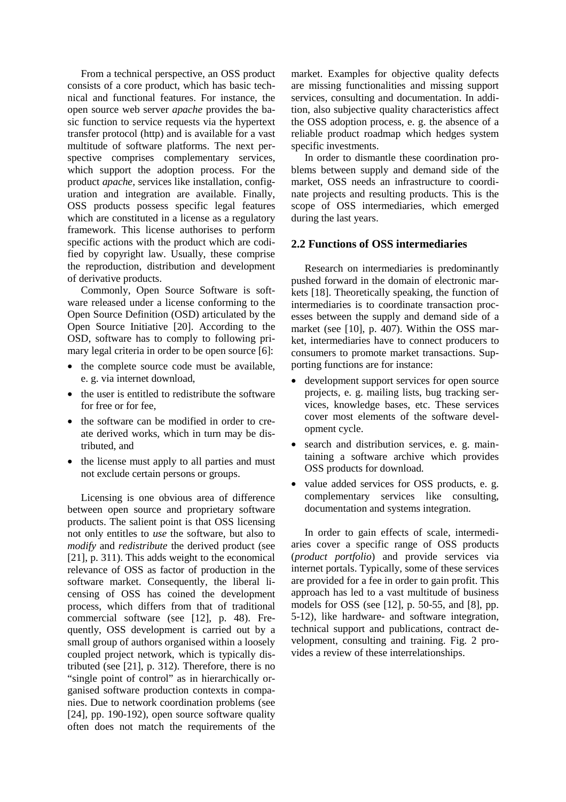From a technical perspective, an OSS product consists of a core product, which has basic technical and functional features. For instance, the open source web server *apache* provides the basic function to service requests via the hypertext transfer protocol (http) and is available for a vast multitude of software platforms. The next perspective comprises complementary services, which support the adoption process. For the product *apache,* services like installation, configuration and integration are available. Finally, OSS products possess specific legal features which are constituted in a license as a regulatory framework. This license authorises to perform specific actions with the product which are codified by copyright law. Usually, these comprise the reproduction, distribution and development of derivative products.

Commonly, Open Source Software is software released under a license conforming to the Open Source Definition (OSD) articulated by the Open Source Initiative [20]. According to the OSD, software has to comply to following primary legal criteria in order to be open source [6]:

- the complete source code must be available, e. g. via internet download,
- the user is entitled to redistribute the software for free or for fee,
- the software can be modified in order to create derived works, which in turn may be distributed, and
- the license must apply to all parties and must not exclude certain persons or groups.

Licensing is one obvious area of difference between open source and proprietary software products. The salient point is that OSS licensing not only entitles to *use* the software, but also to *modify* and *redistribute* the derived product (see [21], p. 311). This adds weight to the economical relevance of OSS as factor of production in the software market. Consequently, the liberal licensing of OSS has coined the development process, which differs from that of traditional commercial software (see [12], p. 48). Frequently, OSS development is carried out by a small group of authors organised within a loosely coupled project network, which is typically distributed (see [21], p. 312). Therefore, there is no "single point of control" as in hierarchically organised software production contexts in companies. Due to network coordination problems (see [24], pp. 190-192), open source software quality often does not match the requirements of the market. Examples for objective quality defects are missing functionalities and missing support services, consulting and documentation. In addition, also subjective quality characteristics affect the OSS adoption process, e. g. the absence of a reliable product roadmap which hedges system specific investments.

In order to dismantle these coordination problems between supply and demand side of the market, OSS needs an infrastructure to coordinate projects and resulting products. This is the scope of OSS intermediaries, which emerged during the last years.

### **2.2 Functions of OSS intermediaries**

Research on intermediaries is predominantly pushed forward in the domain of electronic markets [18]. Theoretically speaking, the function of intermediaries is to coordinate transaction processes between the supply and demand side of a market (see [10], p. 407). Within the OSS market, intermediaries have to connect producers to consumers to promote market transactions. Supporting functions are for instance:

- development support services for open source projects, e. g. mailing lists, bug tracking services, knowledge bases, etc. These services cover most elements of the software development cycle.
- search and distribution services, e. g. maintaining a software archive which provides OSS products for download.
- value added services for OSS products, e. g. complementary services like consulting, documentation and systems integration.

In order to gain effects of scale, intermediaries cover a specific range of OSS products (*product portfolio*) and provide services via internet portals. Typically, some of these services are provided for a fee in order to gain profit. This approach has led to a vast multitude of business models for OSS (see [12], p. 50-55, and [8], pp. 5-12), like hardware- and software integration, technical support and publications, contract development, consulting and training. Fig. 2 provides a review of these interrelationships.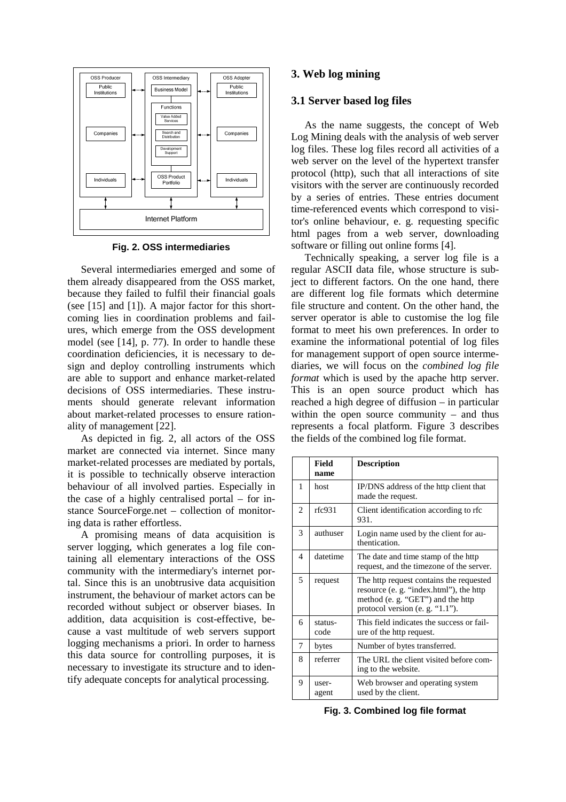

**Fig. 2. OSS intermediaries** 

Several intermediaries emerged and some of them already disappeared from the OSS market, because they failed to fulfil their financial goals (see [15] and [1]). A major factor for this shortcoming lies in coordination problems and failures, which emerge from the OSS development model (see [14], p. 77). In order to handle these coordination deficiencies, it is necessary to design and deploy controlling instruments which are able to support and enhance market-related decisions of OSS intermediaries. These instruments should generate relevant information about market-related processes to ensure rationality of management [22].

As depicted in fig. 2, all actors of the OSS market are connected via internet. Since many market-related processes are mediated by portals, it is possible to technically observe interaction behaviour of all involved parties. Especially in the case of a highly centralised portal – for instance SourceForge.net – collection of monitoring data is rather effortless.

A promising means of data acquisition is server logging, which generates a log file containing all elementary interactions of the OSS community with the intermediary's internet portal. Since this is an unobtrusive data acquisition instrument, the behaviour of market actors can be recorded without subject or observer biases. In addition, data acquisition is cost-effective, because a vast multitude of web servers support logging mechanisms a priori. In order to harness this data source for controlling purposes, it is necessary to investigate its structure and to identify adequate concepts for analytical processing.

### **3. Web log mining**

#### **3.1 Server based log files**

As the name suggests, the concept of Web Log Mining deals with the analysis of web server log files. These log files record all activities of a web server on the level of the hypertext transfer protocol (http), such that all interactions of site visitors with the server are continuously recorded by a series of entries. These entries document time-referenced events which correspond to visitor's online behaviour, e. g. requesting specific html pages from a web server, downloading software or filling out online forms [4].

Technically speaking, a server log file is a regular ASCII data file, whose structure is subject to different factors. On the one hand, there are different log file formats which determine file structure and content. On the other hand, the server operator is able to customise the log file format to meet his own preferences. In order to examine the informational potential of log files for management support of open source intermediaries, we will focus on the *combined log file format* which is used by the apache http server. This is an open source product which has reached a high degree of diffusion – in particular within the open source community – and thus represents a focal platform. Figure 3 describes the fields of the combined log file format.

|   | <b>Field</b><br>name | <b>Description</b>                                                                                                                                             |
|---|----------------------|----------------------------------------------------------------------------------------------------------------------------------------------------------------|
| 1 | host                 | IP/DNS address of the http client that<br>made the request.                                                                                                    |
| 2 | rfc931               | Client identification according to rfc.<br>931.                                                                                                                |
| 3 | authuser             | Login name used by the client for au-<br>thentication.                                                                                                         |
| 4 | datetime             | The date and time stamp of the http<br>request, and the timezone of the server.                                                                                |
| 5 | request              | The http request contains the requested<br>resource (e. g. "index.html"), the http<br>method (e. g. "GET") and the http<br>protocol version (e. g. " $1.1$ "). |
| 6 | status-<br>code      | This field indicates the success or fail-<br>ure of the http request.                                                                                          |
| 7 | bytes                | Number of bytes transferred.                                                                                                                                   |
| 8 | referrer             | The URL the client visited before com-<br>ing to the website.                                                                                                  |
| 9 | user-<br>agent       | Web browser and operating system<br>used by the client.                                                                                                        |

**Fig. 3. Combined log file format**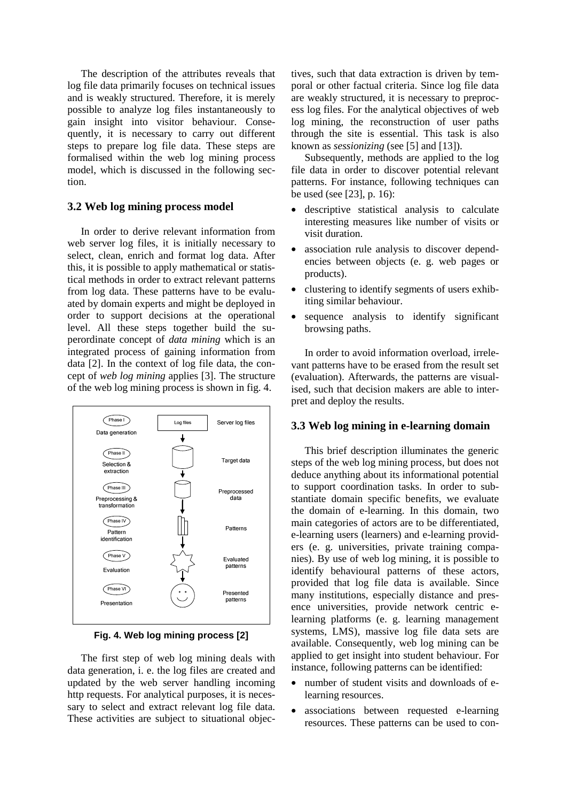The description of the attributes reveals that log file data primarily focuses on technical issues and is weakly structured. Therefore, it is merely possible to analyze log files instantaneously to gain insight into visitor behaviour. Consequently, it is necessary to carry out different steps to prepare log file data. These steps are formalised within the web log mining process model, which is discussed in the following section.

# **3.2 Web log mining process model**

In order to derive relevant information from web server log files, it is initially necessary to select, clean, enrich and format log data. After this, it is possible to apply mathematical or statistical methods in order to extract relevant patterns from log data. These patterns have to be evaluated by domain experts and might be deployed in order to support decisions at the operational level. All these steps together build the superordinate concept of *data mining* which is an integrated process of gaining information from data [2]. In the context of log file data, the concept of *web log mining* applies [3]. The structure of the web log mining process is shown in fig. 4.



**Fig. 4. Web log mining process [2]** 

The first step of web log mining deals with data generation, i. e. the log files are created and updated by the web server handling incoming http requests. For analytical purposes, it is necessary to select and extract relevant log file data. These activities are subject to situational objectives, such that data extraction is driven by temporal or other factual criteria. Since log file data are weakly structured, it is necessary to preprocess log files. For the analytical objectives of web log mining, the reconstruction of user paths through the site is essential. This task is also known as *sessionizing* (see [5] and [13]).

Subsequently, methods are applied to the log file data in order to discover potential relevant patterns. For instance, following techniques can be used (see [23], p. 16):

- descriptive statistical analysis to calculate interesting measures like number of visits or visit duration.
- association rule analysis to discover dependencies between objects (e. g. web pages or products).
- clustering to identify segments of users exhibiting similar behaviour.
- sequence analysis to identify significant browsing paths.

In order to avoid information overload, irrelevant patterns have to be erased from the result set (evaluation). Afterwards, the patterns are visualised, such that decision makers are able to interpret and deploy the results.

## **3.3 Web log mining in e-learning domain**

This brief description illuminates the generic steps of the web log mining process, but does not deduce anything about its informational potential to support coordination tasks. In order to substantiate domain specific benefits, we evaluate the domain of e-learning. In this domain, two main categories of actors are to be differentiated, e-learning users (learners) and e-learning providers (e. g. universities, private training companies). By use of web log mining, it is possible to identify behavioural patterns of these actors, provided that log file data is available. Since many institutions, especially distance and presence universities, provide network centric elearning platforms (e. g. learning management systems, LMS), massive log file data sets are available. Consequently, web log mining can be applied to get insight into student behaviour. For instance, following patterns can be identified:

- number of student visits and downloads of elearning resources.
- associations between requested e-learning resources. These patterns can be used to con-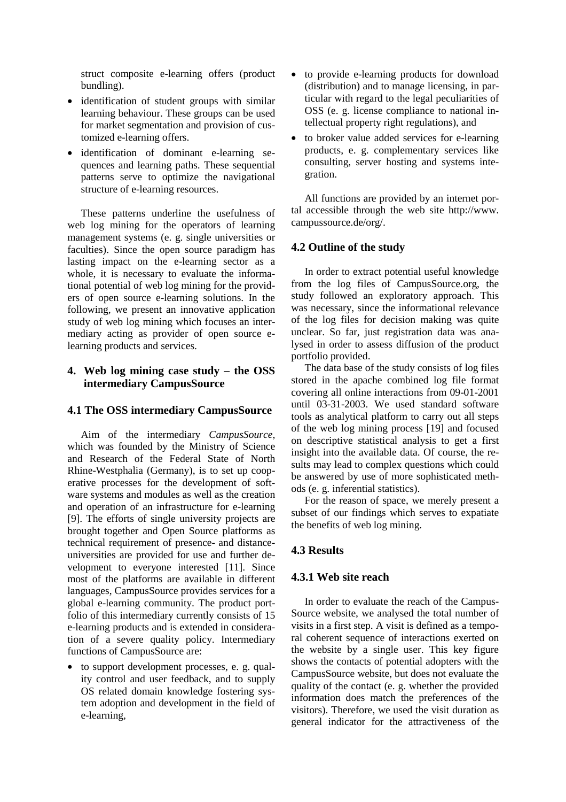struct composite e-learning offers (product bundling).

- identification of student groups with similar learning behaviour. These groups can be used for market segmentation and provision of customized e-learning offers.
- identification of dominant e-learning sequences and learning paths. These sequential patterns serve to optimize the navigational structure of e-learning resources.

These patterns underline the usefulness of web log mining for the operators of learning management systems (e. g. single universities or faculties). Since the open source paradigm has lasting impact on the e-learning sector as a whole, it is necessary to evaluate the informational potential of web log mining for the providers of open source e-learning solutions. In the following, we present an innovative application study of web log mining which focuses an intermediary acting as provider of open source elearning products and services.

# **4. Web log mining case study – the OSS intermediary CampusSource**

# **4.1 The OSS intermediary CampusSource**

Aim of the intermediary *CampusSource*, which was founded by the Ministry of Science and Research of the Federal State of North Rhine-Westphalia (Germany), is to set up cooperative processes for the development of software systems and modules as well as the creation and operation of an infrastructure for e-learning [9]. The efforts of single university projects are brought together and Open Source platforms as technical requirement of presence- and distanceuniversities are provided for use and further development to everyone interested [11]. Since most of the platforms are available in different languages, CampusSource provides services for a global e-learning community. The product portfolio of this intermediary currently consists of 15 e-learning products and is extended in consideration of a severe quality policy. Intermediary functions of CampusSource are:

• to support development processes, e. g. quality control and user feedback, and to supply OS related domain knowledge fostering system adoption and development in the field of e-learning,

- to provide e-learning products for download (distribution) and to manage licensing, in particular with regard to the legal peculiarities of OSS (e. g. license compliance to national intellectual property right regulations), and
- to broker value added services for e-learning products, e. g. complementary services like consulting, server hosting and systems integration.

All functions are provided by an internet portal accessible through the web site http://www. campussource.de/org/.

# **4.2 Outline of the study**

In order to extract potential useful knowledge from the log files of CampusSource.org, the study followed an exploratory approach. This was necessary, since the informational relevance of the log files for decision making was quite unclear. So far, just registration data was analysed in order to assess diffusion of the product portfolio provided.

The data base of the study consists of log files stored in the apache combined log file format covering all online interactions from 09-01-2001 until 03-31-2003. We used standard software tools as analytical platform to carry out all steps of the web log mining process [19] and focused on descriptive statistical analysis to get a first insight into the available data. Of course, the results may lead to complex questions which could be answered by use of more sophisticated methods (e. g. inferential statistics).

For the reason of space, we merely present a subset of our findings which serves to expatiate the benefits of web log mining.

# **4.3 Results**

# **4.3.1 Web site reach**

In order to evaluate the reach of the Campus-Source website, we analysed the total number of visits in a first step. A visit is defined as a temporal coherent sequence of interactions exerted on the website by a single user. This key figure shows the contacts of potential adopters with the CampusSource website, but does not evaluate the quality of the contact (e. g. whether the provided information does match the preferences of the visitors). Therefore, we used the visit duration as general indicator for the attractiveness of the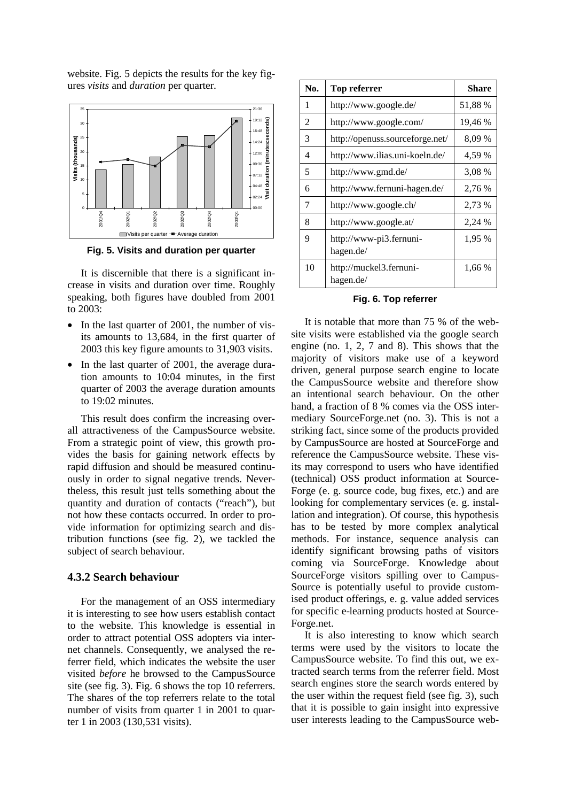website. Fig. 5 depicts the results for the key figures *visits* and *duration* per quarter.



**Fig. 5. Visits and duration per quarter** 

It is discernible that there is a significant increase in visits and duration over time. Roughly speaking, both figures have doubled from 2001 to 2003:

- In the last quarter of 2001, the number of visits amounts to 13,684, in the first quarter of 2003 this key figure amounts to 31,903 visits.
- In the last quarter of 2001, the average duration amounts to 10:04 minutes, in the first quarter of 2003 the average duration amounts to 19:02 minutes.

This result does confirm the increasing overall attractiveness of the CampusSource website. From a strategic point of view, this growth provides the basis for gaining network effects by rapid diffusion and should be measured continuously in order to signal negative trends. Nevertheless, this result just tells something about the quantity and duration of contacts ("reach"), but not how these contacts occurred. In order to provide information for optimizing search and distribution functions (see fig. 2), we tackled the subject of search behaviour.

#### **4.3.2 Search behaviour**

For the management of an OSS intermediary it is interesting to see how users establish contact to the website. This knowledge is essential in order to attract potential OSS adopters via internet channels. Consequently, we analysed the referrer field, which indicates the website the user visited *before* he browsed to the CampusSource site (see fig. 3). Fig. 6 shows the top 10 referrers. The shares of the top referrers relate to the total number of visits from quarter 1 in 2001 to quarter 1 in 2003 (130,531 visits).

| No. | Top referrer                         | Share   |
|-----|--------------------------------------|---------|
| 1   | http://www.google.de/                | 51,88 % |
| 2   | http://www.google.com/               | 19,46 % |
| 3   | http://openuss.sourceforge.net/      | 8,09 %  |
| 4   | http://www.ilias.uni-koeln.de/       | 4,59 %  |
| 5   | http://www.gmd.de/                   | 3,08 %  |
| 6   | http://www.fernuni-hagen.de/         | 2.76 %  |
| 7   | http://www.google.ch/                | 2.73 %  |
| 8   | http://www.google.at/                | 2,24 %  |
| 9   | http://www-pi3.fernuni-<br>hagen.de/ | 1,95 %  |
| 10  | http://muckel3.fernuni-<br>hagen.de/ | 1,66 %  |

#### **Fig. 6. Top referrer**

It is notable that more than 75 % of the website visits were established via the google search engine (no. 1, 2, 7 and 8). This shows that the majority of visitors make use of a keyword driven, general purpose search engine to locate the CampusSource website and therefore show an intentional search behaviour. On the other hand, a fraction of 8 % comes via the OSS intermediary SourceForge.net (no. 3). This is not a striking fact, since some of the products provided by CampusSource are hosted at SourceForge and reference the CampusSource website. These visits may correspond to users who have identified (technical) OSS product information at Source-Forge (e. g. source code, bug fixes, etc.) and are looking for complementary services (e. g. installation and integration). Of course, this hypothesis has to be tested by more complex analytical methods. For instance, sequence analysis can identify significant browsing paths of visitors coming via SourceForge. Knowledge about SourceForge visitors spilling over to Campus-Source is potentially useful to provide customised product offerings, e. g. value added services for specific e-learning products hosted at Source-Forge.net.

It is also interesting to know which search terms were used by the visitors to locate the CampusSource website. To find this out, we extracted search terms from the referrer field. Most search engines store the search words entered by the user within the request field (see fig. 3), such that it is possible to gain insight into expressive user interests leading to the CampusSource web-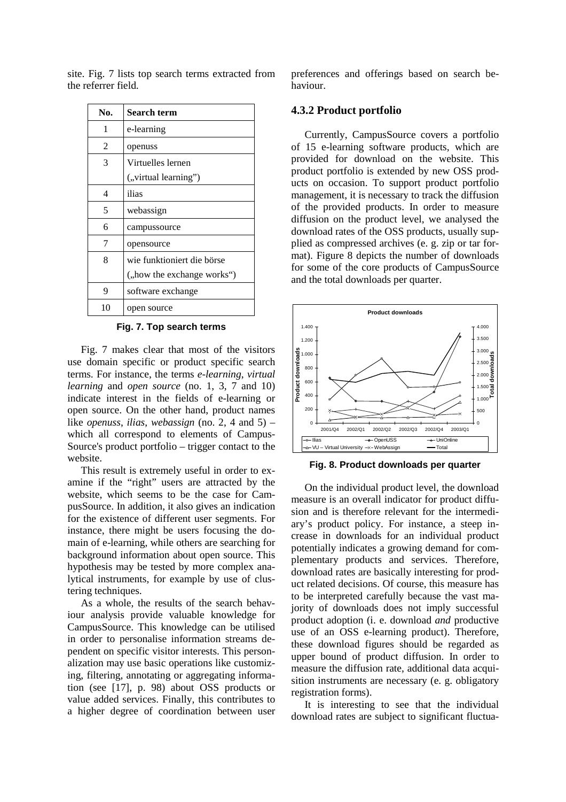| No.                         | <b>Search term</b>         |
|-----------------------------|----------------------------|
| 1                           | e-learning                 |
| $\mathcal{D}_{\mathcal{L}}$ | openuss                    |
| 3                           | Virtuelles lernen          |
|                             | ("virtual learning")       |
| 4                           | ilias                      |
| 5                           | webassign                  |
| 6                           | campussource               |
| 7                           | opensource                 |
| 8                           | wie funktioniert die börse |
|                             | ("how the exchange works") |
| 9                           | software exchange          |
| 10                          | open source                |

site. Fig. 7 lists top search terms extracted from the referrer field.

#### **Fig. 7. Top search terms**

Fig. 7 makes clear that most of the visitors use domain specific or product specific search terms. For instance, the terms *e-learning*, *virtual learning* and *open source* (no. 1, 3, 7 and 10) indicate interest in the fields of e-learning or open source. On the other hand, product names like *openuss*, *ilias*, *webassign* (no. 2, 4 and 5) – which all correspond to elements of Campus-Source's product portfolio – trigger contact to the website.

This result is extremely useful in order to examine if the "right" users are attracted by the website, which seems to be the case for CampusSource. In addition, it also gives an indication for the existence of different user segments. For instance, there might be users focusing the domain of e-learning, while others are searching for background information about open source. This hypothesis may be tested by more complex analytical instruments, for example by use of clustering techniques.

As a whole, the results of the search behaviour analysis provide valuable knowledge for CampusSource. This knowledge can be utilised in order to personalise information streams dependent on specific visitor interests. This personalization may use basic operations like customizing, filtering, annotating or aggregating information (see [17], p. 98) about OSS products or value added services. Finally, this contributes to a higher degree of coordination between user preferences and offerings based on search behaviour.

### **4.3.2 Product portfolio**

Currently, CampusSource covers a portfolio of 15 e-learning software products, which are provided for download on the website. This product portfolio is extended by new OSS products on occasion. To support product portfolio management, it is necessary to track the diffusion of the provided products. In order to measure diffusion on the product level, we analysed the download rates of the OSS products, usually supplied as compressed archives (e. g. zip or tar format). Figure 8 depicts the number of downloads for some of the core products of CampusSource and the total downloads per quarter.



**Fig. 8. Product downloads per quarter** 

On the individual product level, the download measure is an overall indicator for product diffusion and is therefore relevant for the intermediary's product policy. For instance, a steep increase in downloads for an individual product potentially indicates a growing demand for complementary products and services. Therefore, download rates are basically interesting for product related decisions. Of course, this measure has to be interpreted carefully because the vast majority of downloads does not imply successful product adoption (i. e. download *and* productive use of an OSS e-learning product). Therefore, these download figures should be regarded as upper bound of product diffusion. In order to measure the diffusion rate, additional data acquisition instruments are necessary (e. g. obligatory registration forms).

It is interesting to see that the individual download rates are subject to significant fluctua-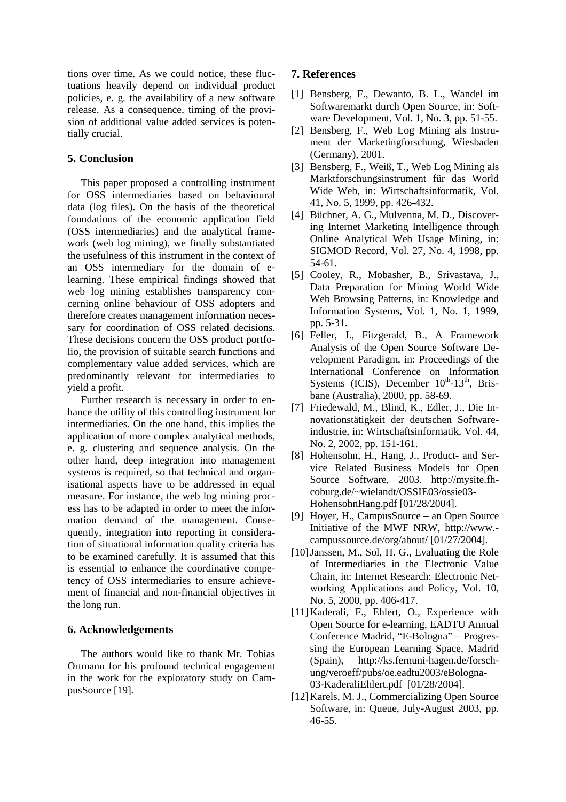tions over time. As we could notice, these fluctuations heavily depend on individual product policies, e. g. the availability of a new software release. As a consequence, timing of the provision of additional value added services is potentially crucial.

## **5. Conclusion**

This paper proposed a controlling instrument for OSS intermediaries based on behavioural data (log files). On the basis of the theoretical foundations of the economic application field (OSS intermediaries) and the analytical framework (web log mining), we finally substantiated the usefulness of this instrument in the context of an OSS intermediary for the domain of elearning. These empirical findings showed that web log mining establishes transparency concerning online behaviour of OSS adopters and therefore creates management information necessary for coordination of OSS related decisions. These decisions concern the OSS product portfolio, the provision of suitable search functions and complementary value added services, which are predominantly relevant for intermediaries to yield a profit.

Further research is necessary in order to enhance the utility of this controlling instrument for intermediaries. On the one hand, this implies the application of more complex analytical methods, e. g. clustering and sequence analysis. On the other hand, deep integration into management systems is required, so that technical and organisational aspects have to be addressed in equal measure. For instance, the web log mining process has to be adapted in order to meet the information demand of the management. Consequently, integration into reporting in consideration of situational information quality criteria has to be examined carefully. It is assumed that this is essential to enhance the coordinative competency of OSS intermediaries to ensure achievement of financial and non-financial objectives in the long run.

## **6. Acknowledgements**

The authors would like to thank Mr. Tobias Ortmann for his profound technical engagement in the work for the exploratory study on CampusSource [19].

## **7. References**

- [1] Bensberg, F., Dewanto, B. L., Wandel im Softwaremarkt durch Open Source, in: Software Development, Vol. 1, No. 3, pp. 51-55.
- [2] Bensberg, F., Web Log Mining als Instrument der Marketingforschung, Wiesbaden (Germany), 2001.
- [3] Bensberg, F., Weiß, T., Web Log Mining als Marktforschungsinstrument für das World Wide Web, in: Wirtschaftsinformatik, Vol. 41, No. 5, 1999, pp. 426-432.
- [4] Büchner, A. G., Mulvenna, M. D., Discovering Internet Marketing Intelligence through Online Analytical Web Usage Mining, in: SIGMOD Record, Vol. 27, No. 4, 1998, pp. 54-61.
- [5] Cooley, R., Mobasher, B., Srivastava, J., Data Preparation for Mining World Wide Web Browsing Patterns, in: Knowledge and Information Systems, Vol. 1, No. 1, 1999, pp. 5-31.
- [6] Feller, J., Fitzgerald, B., A Framework Analysis of the Open Source Software Development Paradigm, in: Proceedings of the International Conference on Information Systems (ICIS), December  $10^{th}$ -13<sup>th</sup>, Brisbane (Australia), 2000, pp. 58-69.
- [7] Friedewald, M., Blind, K., Edler, J., Die Innovationstätigkeit der deutschen Softwareindustrie, in: Wirtschaftsinformatik, Vol. 44, No. 2, 2002, pp. 151-161.
- [8] Hohensohn, H., Hang, J., Product- and Service Related Business Models for Open Source Software, 2003. http://mysite.fhcoburg.de/~wielandt/OSSIE03/ossie03- HohensohnHang.pdf [01/28/2004].
- [9] Hoyer, H., CampusSource an Open Source Initiative of the MWF NRW, http://www. campussource.de/org/about/ [01/27/2004].
- [10] Janssen, M., Sol, H. G., Evaluating the Role of Intermediaries in the Electronic Value Chain, in: Internet Research: Electronic Networking Applications and Policy, Vol. 10, No. 5, 2000, pp. 406-417.
- [11] Kaderali, F., Ehlert, O., Experience with Open Source for e-learning, EADTU Annual Conference Madrid, "E-Bologna" – Progressing the European Learning Space, Madrid (Spain), http://ks.fernuni-hagen.de/forschung/veroeff/pubs/oe.eadtu2003/eBologna-03-KaderaliEhlert.pdf [01/28/2004].
- [12] Karels, M. J., Commercializing Open Source Software, in: Queue, July-August 2003, pp. 46-55.